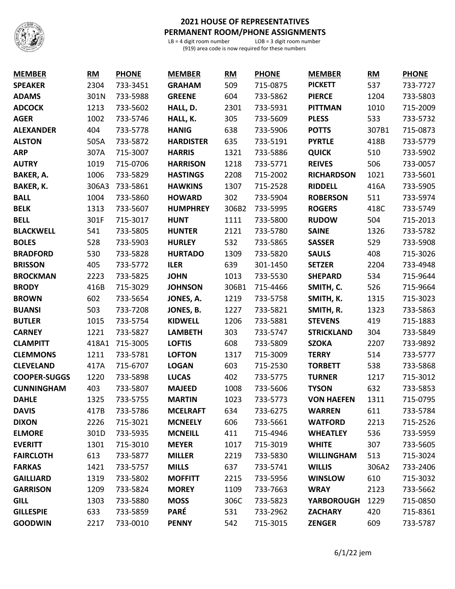

## **2021 HOUSE OF REPRESENTATIVES PERMANENT ROOM/PHONE ASSIGNMENTS**<br>LB = 4 digit room number<br>LOB = 3 digit room number

 $LB = 4$  digit room number (919) area code is now required for these numbers

| <b>MEMBER</b>       | <b>RM</b> | <b>PHONE</b> | <b>MEMBER</b>    | RM    | <b>PHONE</b> | <b>MEMBER</b>     | <b>RM</b> | <b>PHONE</b> |
|---------------------|-----------|--------------|------------------|-------|--------------|-------------------|-----------|--------------|
| <b>SPEAKER</b>      | 2304      | 733-3451     | <b>GRAHAM</b>    | 509   | 715-0875     | <b>PICKETT</b>    | 537       | 733-7727     |
| <b>ADAMS</b>        | 301N      | 733-5988     | <b>GREENE</b>    | 604   | 733-5862     | <b>PIERCE</b>     | 1204      | 733-5803     |
| <b>ADCOCK</b>       | 1213      | 733-5602     | HALL, D.         | 2301  | 733-5931     | <b>PITTMAN</b>    | 1010      | 715-2009     |
| <b>AGER</b>         | 1002      | 733-5746     | HALL, K.         | 305   | 733-5609     | <b>PLESS</b>      | 533       | 733-5732     |
| <b>ALEXANDER</b>    | 404       | 733-5778     | <b>HANIG</b>     | 638   | 733-5906     | <b>POTTS</b>      | 307B1     | 715-0873     |
| <b>ALSTON</b>       | 505A      | 733-5872     | <b>HARDISTER</b> | 635   | 733-5191     | <b>PYRTLE</b>     | 418B      | 733-5779     |
| <b>ARP</b>          | 307A      | 715-3007     | <b>HARRIS</b>    | 1321  | 733-5886     | <b>QUICK</b>      | 510       | 733-5902     |
| <b>AUTRY</b>        | 1019      | 715-0706     | <b>HARRISON</b>  | 1218  | 733-5771     | <b>REIVES</b>     | 506       | 733-0057     |
| BAKER, A.           | 1006      | 733-5829     | <b>HASTINGS</b>  | 2208  | 715-2002     | <b>RICHARDSON</b> | 1021      | 733-5601     |
| <b>BAKER, K.</b>    | 306A3     | 733-5861     | <b>HAWKINS</b>   | 1307  | 715-2528     | <b>RIDDELL</b>    | 416A      | 733-5905     |
| <b>BALL</b>         | 1004      | 733-5860     | <b>HOWARD</b>    | 302   | 733-5904     | <b>ROBERSON</b>   | 511       | 733-5974     |
| <b>BELK</b>         | 1313      | 733-5607     | <b>HUMPHREY</b>  | 306B2 | 733-5995     | <b>ROGERS</b>     | 418C      | 733-5749     |
| <b>BELL</b>         | 301F      | 715-3017     | <b>HUNT</b>      | 1111  | 733-5800     | <b>RUDOW</b>      | 504       | 715-2013     |
| <b>BLACKWELL</b>    | 541       | 733-5805     | <b>HUNTER</b>    | 2121  | 733-5780     | <b>SAINE</b>      | 1326      | 733-5782     |
| <b>BOLES</b>        | 528       | 733-5903     | <b>HURLEY</b>    | 532   | 733-5865     | <b>SASSER</b>     | 529       | 733-5908     |
| <b>BRADFORD</b>     | 530       | 733-5828     | <b>HURTADO</b>   | 1309  | 733-5820     | <b>SAULS</b>      | 408       | 715-3026     |
| <b>BRISSON</b>      | 405       | 733-5772     | <b>ILER</b>      | 639   | 301-1450     | <b>SETZER</b>     | 2204      | 733-4948     |
| <b>BROCKMAN</b>     | 2223      | 733-5825     | <b>JOHN</b>      | 1013  | 733-5530     | <b>SHEPARD</b>    | 534       | 715-9644     |
| <b>BRODY</b>        | 416B      | 715-3029     | <b>JOHNSON</b>   | 306B1 | 715-4466     | SMITH, C.         | 526       | 715-9664     |
| <b>BROWN</b>        | 602       | 733-5654     | JONES, A.        | 1219  | 733-5758     | SMITH, K.         | 1315      | 715-3023     |
| <b>BUANSI</b>       | 503       | 733-7208     | JONES, B.        | 1227  | 733-5821     | SMITH, R.         | 1323      | 733-5863     |
| <b>BUTLER</b>       | 1015      | 733-5754     | <b>KIDWELL</b>   | 1206  | 733-5881     | <b>STEVENS</b>    | 419       | 715-1883     |
| <b>CARNEY</b>       | 1221      | 733-5827     | <b>LAMBETH</b>   | 303   | 733-5747     | <b>STRICKLAND</b> | 304       | 733-5849     |
| <b>CLAMPITT</b>     | 418A1     | 715-3005     | <b>LOFTIS</b>    | 608   | 733-5809     | <b>SZOKA</b>      | 2207      | 733-9892     |
| <b>CLEMMONS</b>     | 1211      | 733-5781     | <b>LOFTON</b>    | 1317  | 715-3009     | <b>TERRY</b>      | 514       | 733-5777     |
| <b>CLEVELAND</b>    | 417A      | 715-6707     | <b>LOGAN</b>     | 603   | 715-2530     | <b>TORBETT</b>    | 538       | 733-5868     |
| <b>COOPER-SUGGS</b> | 1220      | 733-5898     | <b>LUCAS</b>     | 402   | 733-5775     | <b>TURNER</b>     | 1217      | 715-3012     |
| <b>CUNNINGHAM</b>   | 403       | 733-5807     | <b>MAJEED</b>    | 1008  | 733-5606     | <b>TYSON</b>      | 632       | 733-5853     |
| <b>DAHLE</b>        | 1325      | 733-5755     | <b>MARTIN</b>    | 1023  | 733-5773     | <b>VON HAEFEN</b> | 1311      | 715-0795     |
| <b>DAVIS</b>        | 417B      | 733-5786     | <b>MCELRAFT</b>  | 634   | 733-6275     | <b>WARREN</b>     | 611       | 733-5784     |
| <b>DIXON</b>        | 2226      | 715-3021     | <b>MCNEELY</b>   | 606   | 733-5661     | <b>WATFORD</b>    | 2213      | 715-2526     |
| <b>ELMORE</b>       | 301D      | 733-5935     | <b>MCNEILL</b>   | 411   | 715-4946     | <b>WHEATLEY</b>   | 536       | 733-5959     |
| <b>EVERITT</b>      | 1301      | 715-3010     | <b>MEYER</b>     | 1017  | 715-3019     | <b>WHITE</b>      | 307       | 733-5605     |
| <b>FAIRCLOTH</b>    | 613       | 733-5877     | <b>MILLER</b>    | 2219  | 733-5830     | <b>WILLINGHAM</b> | 513       | 715-3024     |
| <b>FARKAS</b>       | 1421      | 733-5757     | <b>MILLS</b>     | 637   | 733-5741     | <b>WILLIS</b>     | 306A2     | 733-2406     |
| <b>GAILLIARD</b>    | 1319      | 733-5802     | <b>MOFFITT</b>   | 2215  | 733-5956     | <b>WINSLOW</b>    | 610       | 715-3032     |
| <b>GARRISON</b>     | 1209      | 733-5824     | <b>MOREY</b>     | 1109  | 733-7663     | <b>WRAY</b>       | 2123      | 733-5662     |
| <b>GILL</b>         | 1303      | 733-5880     | <b>MOSS</b>      | 306C  | 733-5823     | <b>YARBOROUGH</b> | 1229      | 715-0850     |
| <b>GILLESPIE</b>    | 633       | 733-5859     | <b>PARÉ</b>      | 531   | 733-2962     | <b>ZACHARY</b>    | 420       | 715-8361     |
| <b>GOODWIN</b>      | 2217      | 733-0010     | <b>PENNY</b>     | 542   | 715-3015     | <b>ZENGER</b>     | 609       | 733-5787     |